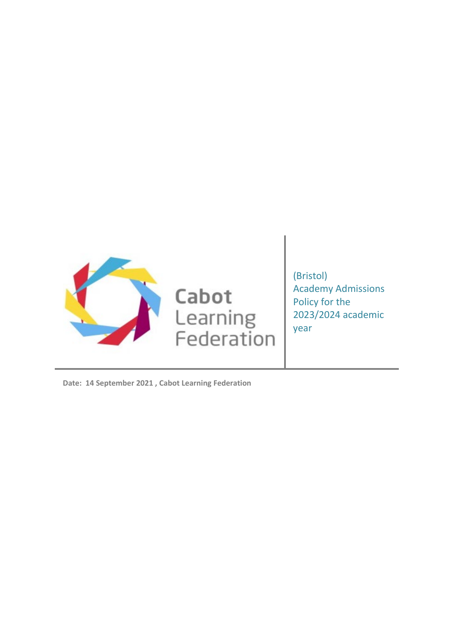

(Bristol) Academy Admissions Policy for the 2023/2024 academic year

**Date: 14 September 2021 , Cabot Learning Federation**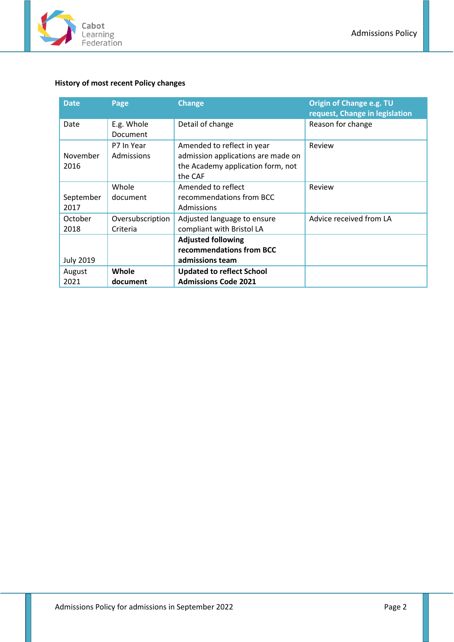

# <span id="page-1-0"></span>**History of most recent Policy changes**

| <b>Date</b>       | Page                         | <b>Change</b>                                                                                                    | Origin of Change e.g. TU<br>request, Change in legislation |
|-------------------|------------------------------|------------------------------------------------------------------------------------------------------------------|------------------------------------------------------------|
| Date              | E.g. Whole<br>Document       | Detail of change                                                                                                 | Reason for change                                          |
| November<br>2016  | P7 In Year<br>Admissions     | Amended to reflect in year<br>admission applications are made on<br>the Academy application form, not<br>the CAF | Review                                                     |
| September<br>2017 | Whole<br>document            | Amended to reflect<br>recommendations from BCC<br>Admissions                                                     | Review                                                     |
| October<br>2018   | Oversubscription<br>Criteria | Adjusted language to ensure<br>compliant with Bristol LA                                                         | Advice received from LA                                    |
| <b>July 2019</b>  |                              | <b>Adjusted following</b><br>recommendations from BCC<br>admissions team                                         |                                                            |
| August<br>2021    | Whole<br>document            | <b>Updated to reflect School</b><br><b>Admissions Code 2021</b>                                                  |                                                            |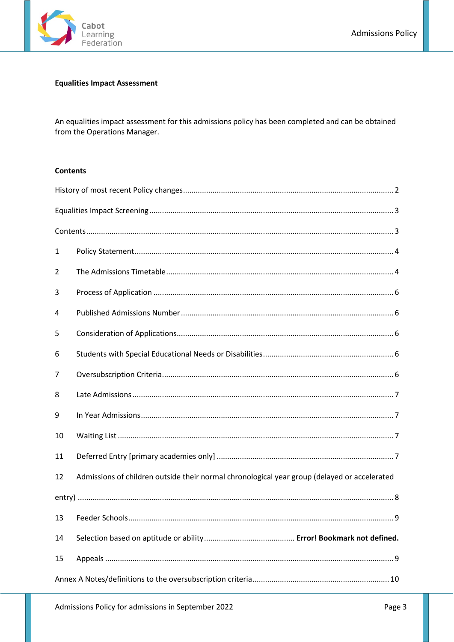

# <span id="page-2-0"></span>**Equalities Impact Assessment**

An equalities impact assessment for this admissions policy has been completed and can be obtained from the Operations Manager.

#### <span id="page-2-1"></span>**Contents**

| 1  |                                                                                              |  |  |  |
|----|----------------------------------------------------------------------------------------------|--|--|--|
| 2  |                                                                                              |  |  |  |
| 3  |                                                                                              |  |  |  |
| 4  |                                                                                              |  |  |  |
| 5  |                                                                                              |  |  |  |
| 6  |                                                                                              |  |  |  |
| 7  |                                                                                              |  |  |  |
| 8  |                                                                                              |  |  |  |
| 9  |                                                                                              |  |  |  |
| 10 |                                                                                              |  |  |  |
| 11 |                                                                                              |  |  |  |
| 12 | Admissions of children outside their normal chronological year group (delayed or accelerated |  |  |  |
|    |                                                                                              |  |  |  |
| 13 |                                                                                              |  |  |  |
| 14 |                                                                                              |  |  |  |
| 15 |                                                                                              |  |  |  |
|    |                                                                                              |  |  |  |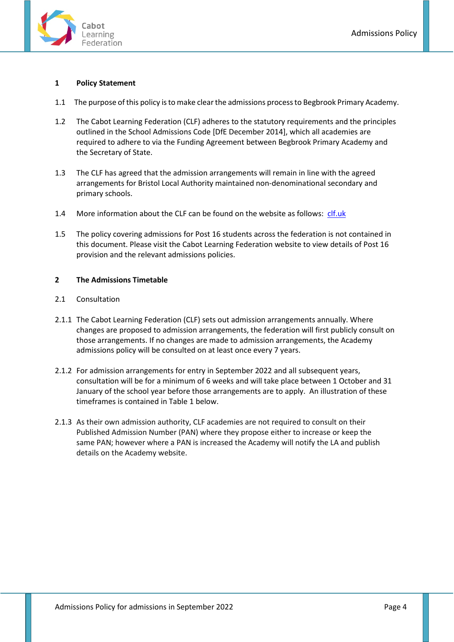

### <span id="page-3-0"></span>**1 Policy Statement**

- 1.1 The purpose of this policy is to make clear the admissions process to Begbrook Primary Academy.
- 1.2 The Cabot Learning Federation (CLF) adheres to the statutory requirements and the principles outlined in the School Admissions Code [DfE December 2014], which all academies are required to adhere to via the Funding Agreement between Begbrook Primary Academy and the Secretary of State.
- 1.3 The CLF has agreed that the admission arrangements will remain in line with the agreed arrangements for Bristol Local Authority maintained non-denominational secondary and primary schools.
- 1.4 More information about the CLF can be found on the website as follows: [clf.uk](file://clf-fs-001/staffhome$/WHellin/Documents/CLF/Policies/Master%20Policies/Admissions%20Templates%20Sept%202021/clf.uk)
- 1.5 The policy covering admissions for Post 16 students across the federation is not contained in this document. Please visit the Cabot Learning Federation website to view details of Post 16 provision and the relevant admissions policies.

#### <span id="page-3-1"></span>**2 The Admissions Timetable**

- 2.1 Consultation
- 2.1.1 The Cabot Learning Federation (CLF) sets out admission arrangements annually. Where changes are proposed to admission arrangements, the federation will first publicly consult on those arrangements. If no changes are made to admission arrangements, the Academy admissions policy will be consulted on at least once every 7 years.
- 2.1.2 For admission arrangements for entry in September 2022 and all subsequent years, consultation will be for a minimum of 6 weeks and will take place between 1 October and 31 January of the school year before those arrangements are to apply. An illustration of these timeframes is contained in Table 1 below.
- 2.1.3 As their own admission authority, CLF academies are not required to consult on their Published Admission Number (PAN) where they propose either to increase or keep the same PAN; however where a PAN is increased the Academy will notify the LA and publish details on the Academy website.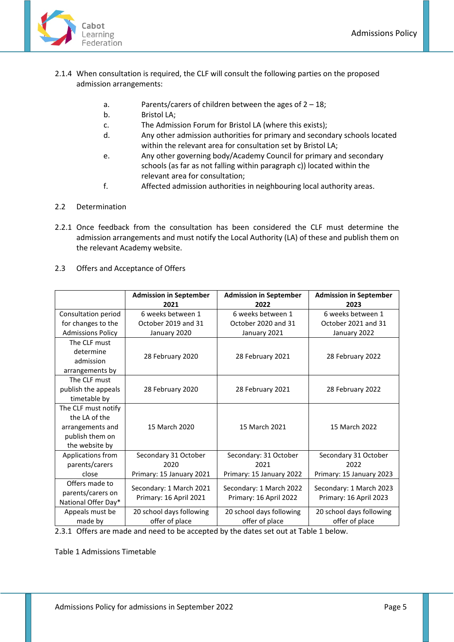

- 2.1.4 When consultation is required, the CLF will consult the following parties on the proposed admission arrangements:
	- a. Parents/carers of children between the ages of  $2 18$ ;
	- b. Bristol LA;
	- c. The Admission Forum for Bristol LA (where this exists);
	- d. Any other admission authorities for primary and secondary schools located within the relevant area for consultation set by Bristol LA;
	- e. Any other governing body/Academy Council for primary and secondary schools (as far as not falling within paragraph c)) located within the relevant area for consultation;
	- f. Affected admission authorities in neighbouring local authority areas.

# 2.2 Determination

- 2.2.1 Once feedback from the consultation has been considered the CLF must determine the admission arrangements and must notify the Local Authority (LA) of these and publish them on the relevant Academy website.
- 2.3 Offers and Acceptance of Offers

|                          | <b>Admission in September</b><br>2021 | <b>Admission in September</b><br>2022 | <b>Admission in September</b><br>2023 |
|--------------------------|---------------------------------------|---------------------------------------|---------------------------------------|
| Consultation period      | 6 weeks between 1                     | 6 weeks between 1                     | 6 weeks between 1                     |
| for changes to the       | October 2019 and 31                   | October 2020 and 31                   | October 2021 and 31                   |
| <b>Admissions Policy</b> | January 2020                          | January 2021                          | January 2022                          |
| The CLF must             |                                       |                                       |                                       |
| determine                | 28 February 2020                      | 28 February 2021                      | 28 February 2022                      |
| admission                |                                       |                                       |                                       |
| arrangements by          |                                       |                                       |                                       |
| The CLF must             |                                       |                                       |                                       |
| publish the appeals      | 28 February 2020                      | 28 February 2021                      | 28 February 2022                      |
| timetable by             |                                       |                                       |                                       |
| The CLF must notify      |                                       |                                       |                                       |
| the LA of the            |                                       |                                       |                                       |
| arrangements and         | 15 March 2020                         | 15 March 2021                         | 15 March 2022                         |
| publish them on          |                                       |                                       |                                       |
| the website by           |                                       |                                       |                                       |
| Applications from        | Secondary 31 October                  | Secondary: 31 October                 | Secondary 31 October                  |
| parents/carers           | 2020                                  | 2021                                  | 2022                                  |
| close                    | Primary: 15 January 2021              | Primary: 15 January 2022              | Primary: 15 January 2023              |
| Offers made to           | Secondary: 1 March 2021               | Secondary: 1 March 2022               | Secondary: 1 March 2023               |
| parents/carers on        | Primary: 16 April 2021                | Primary: 16 April 2022                | Primary: 16 April 2023                |
| National Offer Day*      |                                       |                                       |                                       |
| Appeals must be          | 20 school days following              | 20 school days following              | 20 school days following              |
| made by                  | offer of place                        | offer of place                        | offer of place                        |

2.3.1 Offers are made and need to be accepted by the dates set out at Table 1 below.

Table 1 Admissions Timetable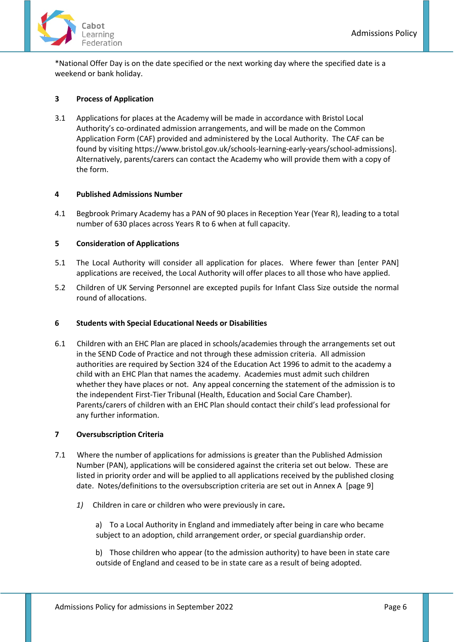\*National Offer Day is on the date specified or the next working day where the specified date is a weekend or bank holiday.

## <span id="page-5-0"></span>**3 Process of Application**

3.1 Applications for places at the Academy will be made in accordance with Bristol Local Authority's co-ordinated admission arrangements, and will be made on the Common Application Form (CAF) provided and administered by the Local Authority. The CAF can be found by visiting https://www.bristol.gov.uk/schools-learning-early-years/school-admissions]. Alternatively, parents/carers can contact the Academy who will provide them with a copy of the form.

### <span id="page-5-1"></span>**4 Published Admissions Number**

4.1 Begbrook Primary Academy has a PAN of 90 places in Reception Year (Year R), leading to a total number of 630 places across Years R to 6 when at full capacity.

#### <span id="page-5-2"></span>**5 Consideration of Applications**

- 5.1 The Local Authority will consider all application for places. Where fewer than [enter PAN] applications are received, the Local Authority will offer places to all those who have applied.
- 5.2 Children of UK Serving Personnel are excepted pupils for Infant Class Size outside the normal round of allocations.

#### <span id="page-5-3"></span>**6 Students with Special Educational Needs or Disabilities**

6.1 Children with an EHC Plan are placed in schools/academies through the arrangements set out in the SEND Code of Practice and not through these admission criteria. All admission authorities are required by Section 324 of the Education Act 1996 to admit to the academy a child with an EHC Plan that names the academy. Academies must admit such children whether they have places or not. Any appeal concerning the statement of the admission is to the independent First-Tier Tribunal (Health, Education and Social Care Chamber). Parents/carers of children with an EHC Plan should contact their child's lead professional for any further information.

## <span id="page-5-4"></span>**7 Oversubscription Criteria**

- 7.1 Where the number of applications for admissions is greater than the Published Admission Number (PAN), applications will be considered against the criteria set out below. These are listed in priority order and will be applied to all applications received by the published closing date. Notes/definitions to the oversubscription criteria are set out in Annex A [page 9]
	- *1)* Children in care or children who were previously in care**.**

a) To a Local Authority in England and immediately after being in care who became subject to an adoption, child arrangement order, or special guardianship order.

b) Those children who appear (to the admission authority) to have been in state care outside of England and ceased to be in state care as a result of being adopted.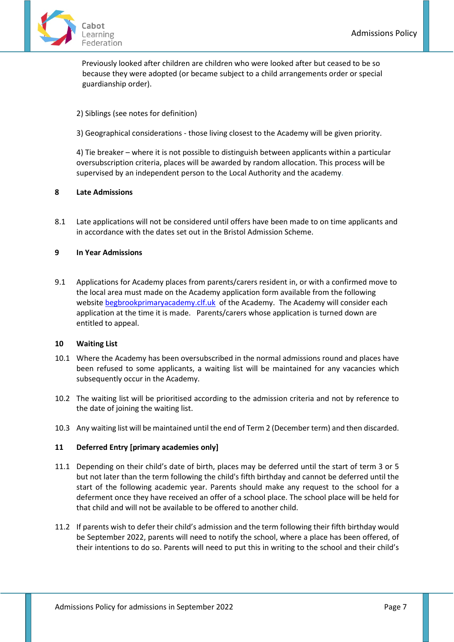

Previously looked after children are children who were looked after but ceased to be so because they were adopted (or became subject to a child arrangements order or special guardianship order).

## 2) Siblings (see notes for definition)

3) Geographical considerations - those living closest to the Academy will be given priority.

4) Tie breaker – where it is not possible to distinguish between applicants within a particular oversubscription criteria, places will be awarded by random allocation. This process will be supervised by an independent person to the Local Authority and the academy.

### <span id="page-6-0"></span>**8 Late Admissions**

8.1 Late applications will not be considered until offers have been made to on time applicants and in accordance with the dates set out in the Bristol Admission Scheme.

### <span id="page-6-1"></span>**9 In Year Admissions**

9.1 Applications for Academy places from parents/carers resident in, or with a confirmed move to the local area must made on the Academy application form available from the following website [begbrookprimaryacademy.clf.uk](http://www.begbrookprimaryacademy.clf.uk/) of the Academy. The Academy will consider each application at the time it is made. Parents/carers whose application is turned down are entitled to appeal.

#### <span id="page-6-2"></span>**10 Waiting List**

- 10.1 Where the Academy has been oversubscribed in the normal admissions round and places have been refused to some applicants, a waiting list will be maintained for any vacancies which subsequently occur in the Academy.
- 10.2 The waiting list will be prioritised according to the admission criteria and not by reference to the date of joining the waiting list.
- 10.3 Any waiting list will be maintained until the end of Term 2 (December term) and then discarded.

### <span id="page-6-3"></span>**11 Deferred Entry [primary academies only]**

- 11.1 Depending on their child's date of birth, places may be deferred until the start of term 3 or 5 but not later than the term following the child's fifth birthday and cannot be deferred until the start of the following academic year. Parents should make any request to the school for a deferment once they have received an offer of a school place. The school place will be held for that child and will not be available to be offered to another child.
- 11.2 If parents wish to defer their child's admission and the term following their fifth birthday would be September 2022, parents will need to notify the school, where a place has been offered, of their intentions to do so. Parents will need to put this in writing to the school and their child's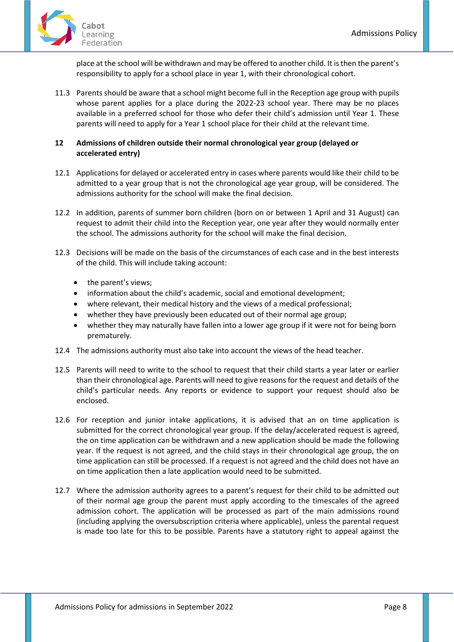

place at the school will be withdrawn and may be offered to another child. It is then the parent's responsibility to apply for a school place in year 1, with their chronological cohort.

11.3 Parents should be aware that a school might become full in the Reception age group with pupils whose parent applies for a place during the 2022-23 school year. There may be no places available in a preferred school for those who defer their child's admission until Year 1. These parents will need to apply for a Year 1 school place for their child at the relevant time.

# <span id="page-7-0"></span>**12 Admissions of children outside their normal chronological year group (delayed or accelerated entry)**

- 12.1 Applications for delayed or accelerated entry in cases where parents would like their child to be admitted to a year group that is not the chronological age year group, will be considered. The admissions authority for the school will make the final decision.
- 12.2 In addition, parents of summer born children (born on or between 1 April and 31 August) can request to admit their child into the Reception year, one year after they would normally enter the school. The admissions authority for the school will make the final decision.
- 12.3 Decisions will be made on the basis of the circumstances of each case and in the best interests of the child. This will include taking account:
	- the parent's views;
	- information about the child's academic, social and emotional development;
	- where relevant, their medical history and the views of a medical professional;
	- whether they have previously been educated out of their normal age group;
	- whether they may naturally have fallen into a lower age group if it were not for being born prematurely.
- 12.4 The admissions authority must also take into account the views of the head teacher.
- 12.5 Parents will need to write to the school to request that their child starts a year later or earlier than their chronological age. Parents will need to give reasons for the request and details of the child's particular needs. Any reports or evidence to support your request should also be enclosed.
- 12.6 For reception and junior intake applications, it is advised that an on time application is submitted for the correct chronological year group. If the delay/accelerated request is agreed, the on time application can be withdrawn and a new application should be made the following year. If the request is not agreed, and the child stays in their chronological age group, the on time application can still be processed. If a request is not agreed and the child does not have an on time application then a late application would need to be submitted.
- 12.7 Where the admission authority agrees to a parent's request for their child to be admitted out of their normal age group the parent must apply according to the timescales of the agreed admission cohort. The application will be processed as part of the main admissions round (including applying the oversubscription criteria where applicable), unless the parental request is made too late for this to be possible. Parents have a statutory right to appeal against the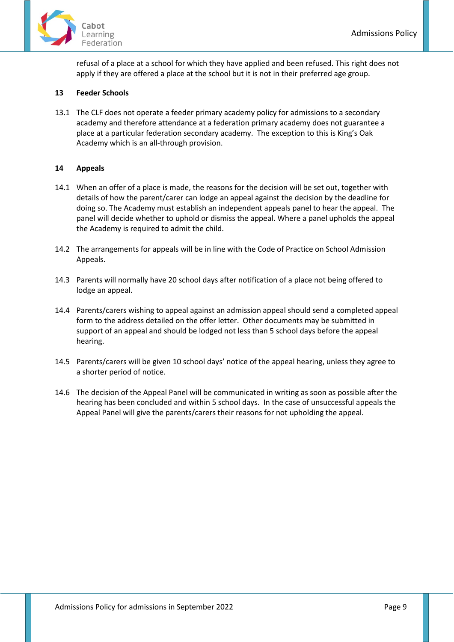

refusal of a place at a school for which they have applied and been refused. This right does not apply if they are offered a place at the school but it is not in their preferred age group.

# <span id="page-8-0"></span>**13 Feeder Schools**

13.1 The CLF does not operate a feeder primary academy policy for admissions to a secondary academy and therefore attendance at a federation primary academy does not guarantee a place at a particular federation secondary academy. The exception to this is King's Oak Academy which is an all-through provision.

# <span id="page-8-1"></span>**14 Appeals**

- 14.1 When an offer of a place is made, the reasons for the decision will be set out, together with details of how the parent/carer can lodge an appeal against the decision by the deadline for doing so. The Academy must establish an independent appeals panel to hear the appeal. The panel will decide whether to uphold or dismiss the appeal. Where a panel upholds the appeal the Academy is required to admit the child.
- 14.2 The arrangements for appeals will be in line with the Code of Practice on School Admission Appeals.
- 14.3 Parents will normally have 20 school days after notification of a place not being offered to lodge an appeal.
- 14.4 Parents/carers wishing to appeal against an admission appeal should send a completed appeal form to the address detailed on the offer letter. Other documents may be submitted in support of an appeal and should be lodged not less than 5 school days before the appeal hearing.
- 14.5 Parents/carers will be given 10 school days' notice of the appeal hearing, unless they agree to a shorter period of notice.
- 14.6 The decision of the Appeal Panel will be communicated in writing as soon as possible after the hearing has been concluded and within 5 school days. In the case of unsuccessful appeals the Appeal Panel will give the parents/carers their reasons for not upholding the appeal.